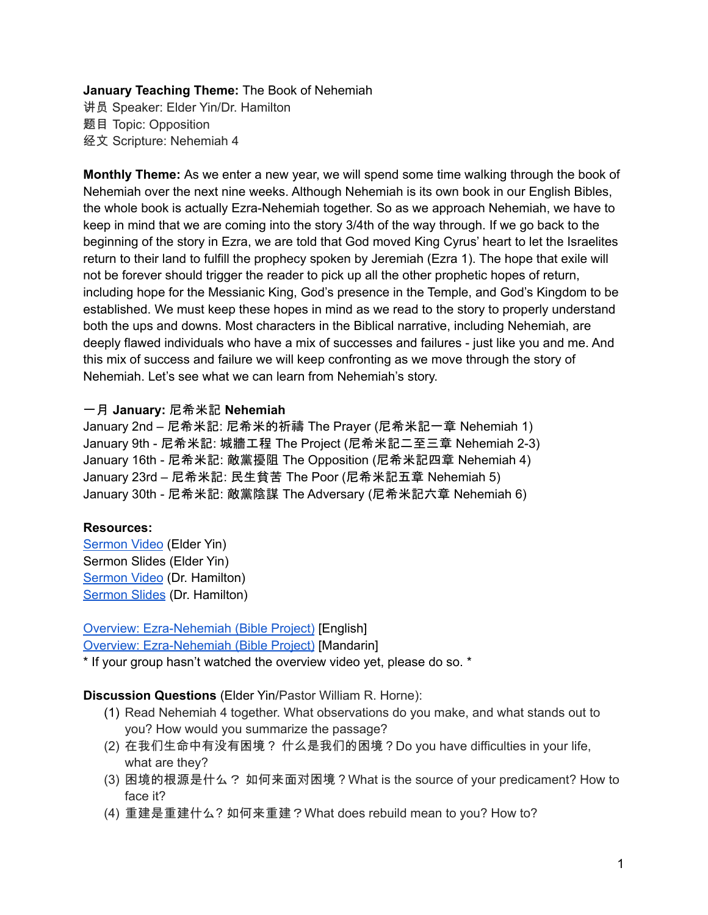## **January Teaching Theme:** The Book of Nehemiah

讲员 Speaker: Elder Yin/Dr. Hamilton 题目 Topic: Opposition 经文 Scripture: Nehemiah 4

**Monthly Theme:** As we enter a new year, we will spend some time walking through the book of Nehemiah over the next nine weeks. Although Nehemiah is its own book in our English Bibles, the whole book is actually Ezra-Nehemiah together. So as we approach Nehemiah, we have to keep in mind that we are coming into the story 3/4th of the way through. If we go back to the beginning of the story in Ezra, we are told that God moved King Cyrus' heart to let the Israelites return to their land to fulfill the prophecy spoken by Jeremiah (Ezra 1). The hope that exile will not be forever should trigger the reader to pick up all the other prophetic hopes of return, including hope for the Messianic King, God's presence in the Temple, and God's Kingdom to be established. We must keep these hopes in mind as we read to the story to properly understand both the ups and downs. Most characters in the Biblical narrative, including Nehemiah, are deeply flawed individuals who have a mix of successes and failures - just like you and me. And this mix of success and failure we will keep confronting as we move through the story of Nehemiah. Let's see what we can learn from Nehemiah's story.

## 一月 **January:** 尼希米記 **Nehemiah**

January 2nd – 尼希米記: 尼希米的祈禱 The Prayer (尼希米記一章 Nehemiah 1) January 9th - 尼希米記: 城牆工程 The Project (尼希米記二至三章 Nehemiah 2-3) January 16th - 尼希米記: 敵黨擾阻 The Opposition (尼希米記四章 Nehemiah 4) January 23rd – 尼希米記: 民生貧苦 The Poor (尼希米記五章 Nehemiah 5) January 30th - 尼希米記: 敵黨陰謀 The Adversary (尼希米記六章 Nehemiah 6)

## **Resources:**

[Sermon](https://youtu.be/GKws-WfAE5s?t=2151) Video (Elder Yin) Sermon Slides (Elder Yin) [Sermon](https://youtu.be/GKws-WfAE5s?t=7536) Video (Dr. Hamilton) [Sermon](https://docs.google.com/presentation/d/1XOU9FHvT14nJabauyEXwJ7CqAT4Yk4Ys6b2ldZnWmYY/edit?usp=sharing) Slides (Dr. Hamilton)

# Overview: [Ezra-Nehemiah](https://bibleproject.com/explore/video/ezra-nehemiah/) (Bible Project) [English]

Overview: [Ezra-Nehemiah](https://www.youtube.com/watch?v=S4pg2h8DOM4&list=PLE-R0uydm0uN0xKD3tw0aheiQojlf1JB1&index=37) (Bible Project) [Mandarin]

\* If your group hasn't watched the overview video yet, please do so. \*

## **Discussion Questions** (Elder Yin/Pastor William R. Horne):

- (1) Read Nehemiah 4 together. What observations do you make, and what stands out to you? How would you summarize the passage?
- (2) 在我们生命中有没有困境? 什么是我们的困境?Do you have difficulties in your life, what are they?
- (3) 困境的根源是什么? 如何来面对困境?What is the source of your predicament? How to face it?
- (4) 重建是重建什么? 如何来重建?What does rebuild mean to you? How to?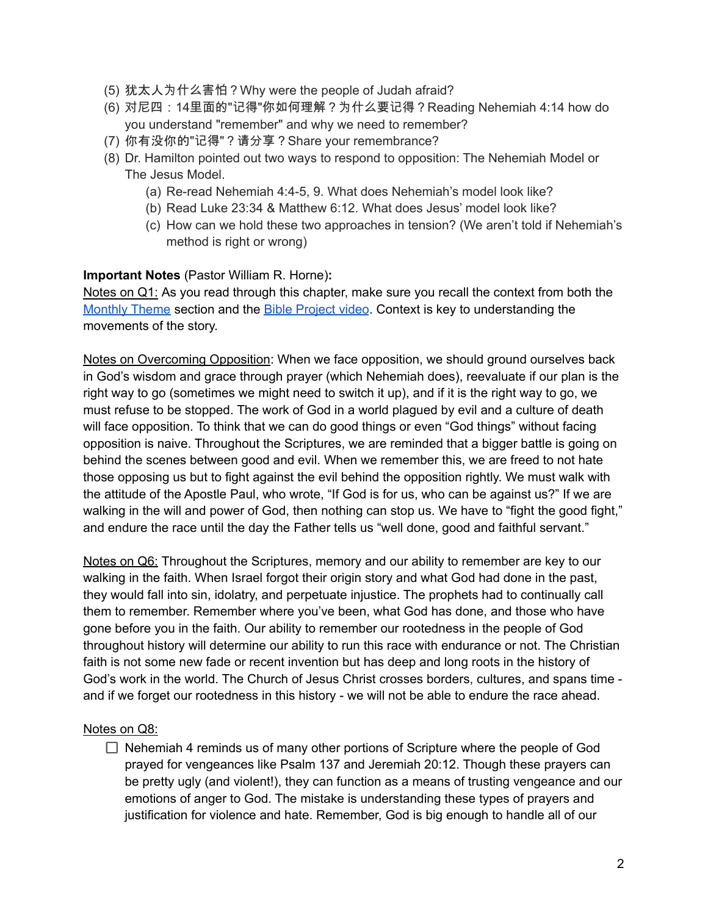- (5) 犹太人为什么害怕?Why were the people of Judah afraid?
- (6) 对尼四:14里面的"记得"你如何理解?为什么要记得?Reading Nehemiah 4:14 how do you understand "remember" and why we need to remember?
- (7) 你有没你的"记得"?请分享?Share your remembrance?
- (8) Dr. Hamilton pointed out two ways to respond to opposition: The Nehemiah Model or The Jesus Model.
	- (a) Re-read Nehemiah 4:4-5, 9. What does Nehemiah's model look like?
	- (b) Read Luke 23:34 & Matthew 6:12. What does Jesus' model look like?
	- (c) How can we hold these two approaches in tension? (We aren't told if Nehemiah's method is right or wrong)

**Important Notes** (Pastor William R. Horne)**:**

Notes on Q1: As you read through this chapter, make sure you recall the context from both the [Monthly](https://docs.google.com/document/d/1kdIsb1XcIs7gpJh6mmgzNf6Jnqwm4iO9jFQe6U3OtNY/edit#bookmark=id.ldbe2mqdl12r) Theme section and the Bible [Project](https://docs.google.com/document/d/1kdIsb1XcIs7gpJh6mmgzNf6Jnqwm4iO9jFQe6U3OtNY/edit#bookmark=id.d2puhpmovfox) video. Context is key to understanding the movements of the story.

Notes on Overcoming Opposition: When we face opposition, we should ground ourselves back in God's wisdom and grace through prayer (which Nehemiah does), reevaluate if our plan is the right way to go (sometimes we might need to switch it up), and if it is the right way to go, we must refuse to be stopped. The work of God in a world plagued by evil and a culture of death will face opposition. To think that we can do good things or even "God things" without facing opposition is naive. Throughout the Scriptures, we are reminded that a bigger battle is going on behind the scenes between good and evil. When we remember this, we are freed to not hate those opposing us but to fight against the evil behind the opposition rightly. We must walk with the attitude of the Apostle Paul, who wrote, "If God is for us, who can be against us?" If we are walking in the will and power of God, then nothing can stop us. We have to "fight the good fight," and endure the race until the day the Father tells us "well done, good and faithful servant."

Notes on Q6: Throughout the Scriptures, memory and our ability to remember are key to our walking in the faith. When Israel forgot their origin story and what God had done in the past, they would fall into sin, idolatry, and perpetuate injustice. The prophets had to continually call them to remember. Remember where you've been, what God has done, and those who have gone before you in the faith. Our ability to remember our rootedness in the people of God throughout history will determine our ability to run this race with endurance or not. The Christian faith is not some new fade or recent invention but has deep and long roots in the history of God's work in the world. The Church of Jesus Christ crosses borders, cultures, and spans time and if we forget our rootedness in this history - we will not be able to endure the race ahead.

## Notes on Q8:

 $\Box$  Nehemiah 4 reminds us of many other portions of Scripture where the people of God prayed for vengeances like Psalm 137 and Jeremiah 20:12. Though these prayers can be pretty ugly (and violent!), they can function as a means of trusting vengeance and our emotions of anger to God. The mistake is understanding these types of prayers and justification for violence and hate. Remember, God is big enough to handle all of our